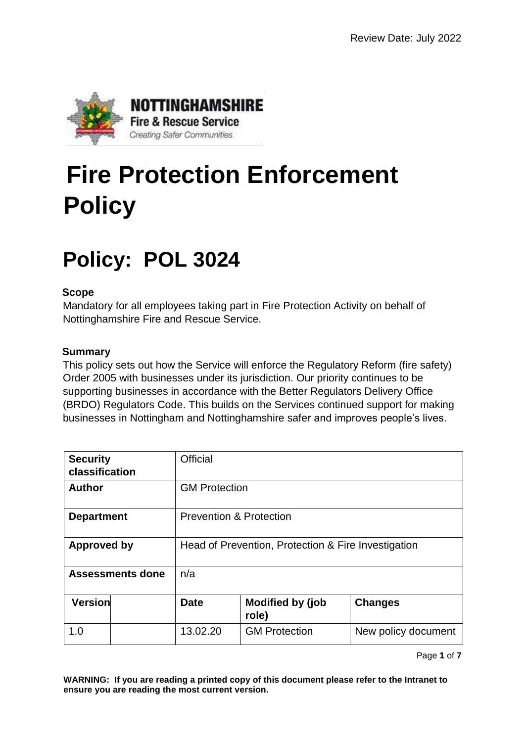

# **Fire Protection Enforcement Policy**

## **Policy: POL 3024**

#### **Scope**

Mandatory for all employees taking part in Fire Protection Activity on behalf of Nottinghamshire Fire and Rescue Service.

#### **Summary**

This policy sets out how the Service will enforce the Regulatory Reform (fire safety) Order 2005 with businesses under its jurisdiction. Our priority continues to be supporting businesses in accordance with the Better Regulators Delivery Office (BRDO) Regulators Code. This builds on the Services continued support for making businesses in Nottingham and Nottinghamshire safer and improves people's lives.

| <b>Security</b><br>classification |  | Official                                            |                                  |                     |  |
|-----------------------------------|--|-----------------------------------------------------|----------------------------------|---------------------|--|
| <b>Author</b>                     |  | <b>GM Protection</b>                                |                                  |                     |  |
| <b>Department</b>                 |  | <b>Prevention &amp; Protection</b>                  |                                  |                     |  |
| <b>Approved by</b>                |  | Head of Prevention, Protection & Fire Investigation |                                  |                     |  |
| <b>Assessments done</b>           |  | n/a                                                 |                                  |                     |  |
| Version                           |  | <b>Date</b>                                         | <b>Modified by (job</b><br>role) | <b>Changes</b>      |  |
| 1.0                               |  | 13.02.20                                            | <b>GM Protection</b>             | New policy document |  |

Page **1** of **7**

**WARNING: If you are reading a printed copy of this document please refer to the Intranet to ensure you are reading the most current version.**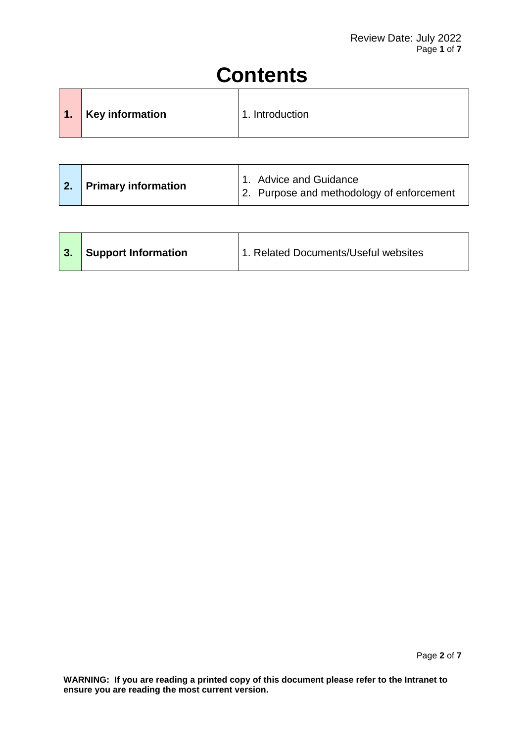## **Contents**

| $\blacksquare$ | <b>Key information</b> | 1. Introduction |
|----------------|------------------------|-----------------|
|                |                        |                 |

|  | 2. Primary information |  | 1. Advice and Guidance<br>2. Purpose and methodology of enforcement |
|--|------------------------|--|---------------------------------------------------------------------|
|--|------------------------|--|---------------------------------------------------------------------|

| <sup>1</sup> Support Information<br>1. Related Documents/Useful websites<br>3. |  |
|--------------------------------------------------------------------------------|--|
|--------------------------------------------------------------------------------|--|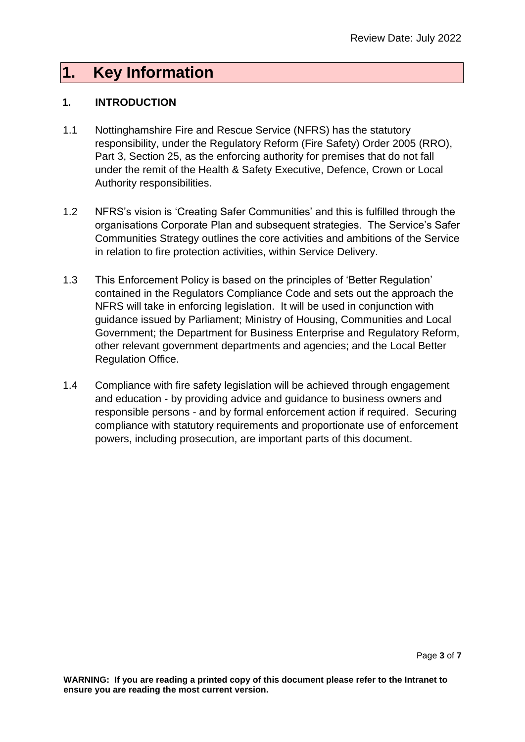### **1. Key Information**

#### **1. INTRODUCTION**

- 1.1 Nottinghamshire Fire and Rescue Service (NFRS) has the statutory responsibility, under the Regulatory Reform (Fire Safety) Order 2005 (RRO), Part 3, Section 25, as the enforcing authority for premises that do not fall under the remit of the Health & Safety Executive, Defence, Crown or Local Authority responsibilities.
- 1.2 NFRS's vision is 'Creating Safer Communities' and this is fulfilled through the organisations Corporate Plan and subsequent strategies. The Service's Safer Communities Strategy outlines the core activities and ambitions of the Service in relation to fire protection activities, within Service Delivery.
- 1.3 This Enforcement Policy is based on the principles of 'Better Regulation' contained in the Regulators Compliance Code and sets out the approach the NFRS will take in enforcing legislation. It will be used in conjunction with guidance issued by Parliament; Ministry of Housing, Communities and Local Government; the Department for Business Enterprise and Regulatory Reform, other relevant government departments and agencies; and the Local Better Regulation Office.
- 1.4 Compliance with fire safety legislation will be achieved through engagement and education - by providing advice and guidance to business owners and responsible persons - and by formal enforcement action if required. Securing compliance with statutory requirements and proportionate use of enforcement powers, including prosecution, are important parts of this document.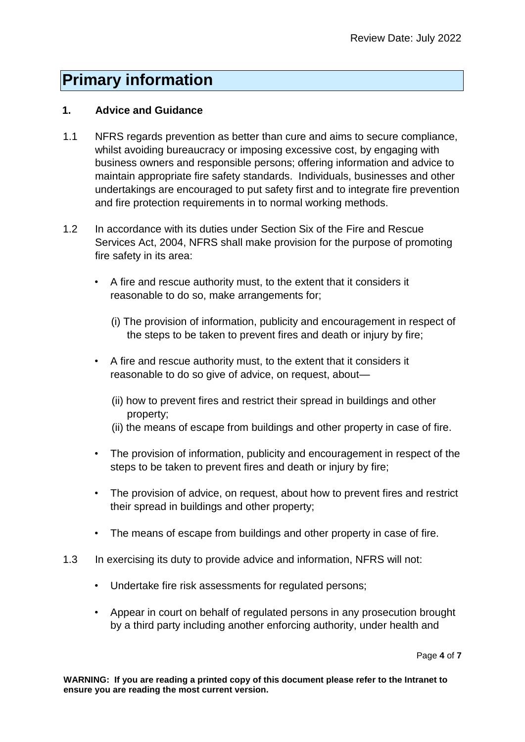### **Primary information**

#### **1. Advice and Guidance**

- 1.1 NFRS regards prevention as better than cure and aims to secure compliance, whilst avoiding bureaucracy or imposing excessive cost, by engaging with business owners and responsible persons; offering information and advice to maintain appropriate fire safety standards. Individuals, businesses and other undertakings are encouraged to put safety first and to integrate fire prevention and fire protection requirements in to normal working methods.
- 1.2 In accordance with its duties under Section Six of the Fire and Rescue Services Act, 2004, NFRS shall make provision for the purpose of promoting fire safety in its area:
	- A fire and rescue authority must, to the extent that it considers it reasonable to do so, make arrangements for;
		- (i) The provision of information, publicity and encouragement in respect of the steps to be taken to prevent fires and death or injury by fire;
	- A fire and rescue authority must, to the extent that it considers it reasonable to do so give of advice, on request, about—
		- (ii) how to prevent fires and restrict their spread in buildings and other property;
		- (ii) the means of escape from buildings and other property in case of fire.
	- The provision of information, publicity and encouragement in respect of the steps to be taken to prevent fires and death or injury by fire;
	- The provision of advice, on request, about how to prevent fires and restrict their spread in buildings and other property;
	- The means of escape from buildings and other property in case of fire.
- 1.3 In exercising its duty to provide advice and information, NFRS will not:
	- Undertake fire risk assessments for regulated persons;
	- Appear in court on behalf of regulated persons in any prosecution brought by a third party including another enforcing authority, under health and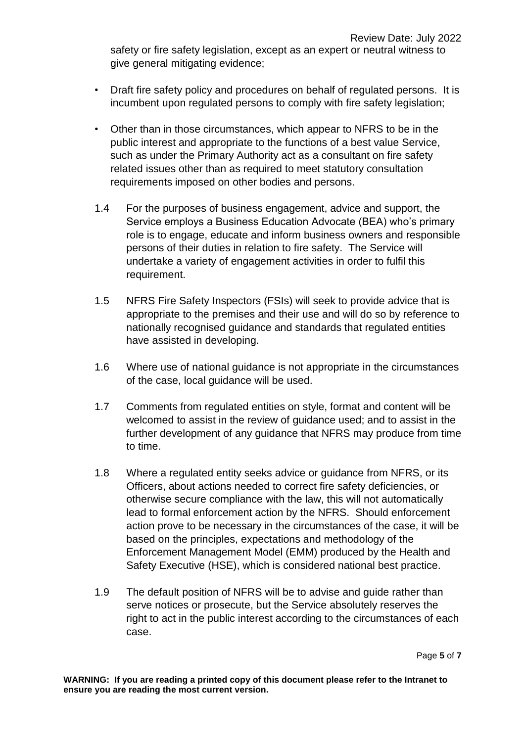safety or fire safety legislation, except as an expert or neutral witness to give general mitigating evidence;

- Draft fire safety policy and procedures on behalf of regulated persons. It is incumbent upon regulated persons to comply with fire safety legislation;
- Other than in those circumstances, which appear to NFRS to be in the public interest and appropriate to the functions of a best value Service, such as under the Primary Authority act as a consultant on fire safety related issues other than as required to meet statutory consultation requirements imposed on other bodies and persons.
- 1.4 For the purposes of business engagement, advice and support, the Service employs a Business Education Advocate (BEA) who's primary role is to engage, educate and inform business owners and responsible persons of their duties in relation to fire safety. The Service will undertake a variety of engagement activities in order to fulfil this requirement.
- 1.5 NFRS Fire Safety Inspectors (FSIs) will seek to provide advice that is appropriate to the premises and their use and will do so by reference to nationally recognised guidance and standards that regulated entities have assisted in developing.
- 1.6 Where use of national guidance is not appropriate in the circumstances of the case, local guidance will be used.
- 1.7 Comments from regulated entities on style, format and content will be welcomed to assist in the review of guidance used; and to assist in the further development of any guidance that NFRS may produce from time to time.
- 1.8 Where a regulated entity seeks advice or guidance from NFRS, or its Officers, about actions needed to correct fire safety deficiencies, or otherwise secure compliance with the law, this will not automatically lead to formal enforcement action by the NFRS. Should enforcement action prove to be necessary in the circumstances of the case, it will be based on the principles, expectations and methodology of the Enforcement Management Model (EMM) produced by the Health and Safety Executive (HSE), which is considered national best practice.
- 1.9 The default position of NFRS will be to advise and guide rather than serve notices or prosecute, but the Service absolutely reserves the right to act in the public interest according to the circumstances of each case.

Page **5** of **7**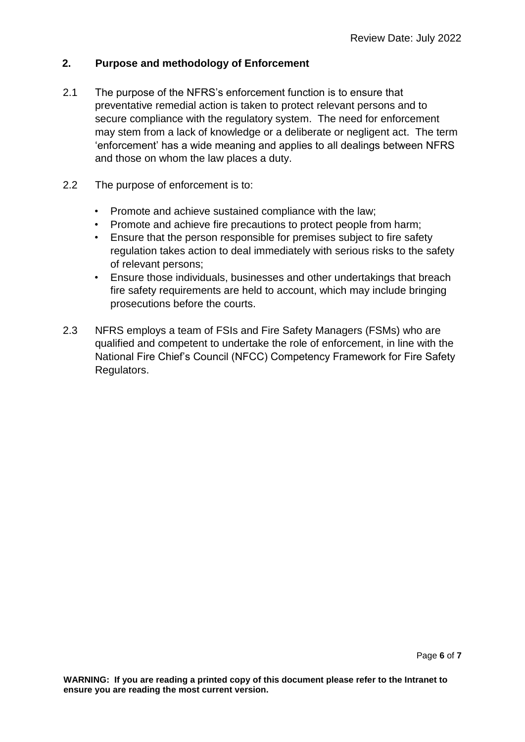#### **2. Purpose and methodology of Enforcement**

- 2.1 The purpose of the NFRS's enforcement function is to ensure that preventative remedial action is taken to protect relevant persons and to secure compliance with the regulatory system. The need for enforcement may stem from a lack of knowledge or a deliberate or negligent act. The term 'enforcement' has a wide meaning and applies to all dealings between NFRS and those on whom the law places a duty.
- 2.2 The purpose of enforcement is to:
	- Promote and achieve sustained compliance with the law;
	- Promote and achieve fire precautions to protect people from harm;
	- Ensure that the person responsible for premises subject to fire safety regulation takes action to deal immediately with serious risks to the safety of relevant persons;
	- Ensure those individuals, businesses and other undertakings that breach fire safety requirements are held to account, which may include bringing prosecutions before the courts.
- 2.3 NFRS employs a team of FSIs and Fire Safety Managers (FSMs) who are qualified and competent to undertake the role of enforcement, in line with the National Fire Chief's Council (NFCC) Competency Framework for Fire Safety Regulators.